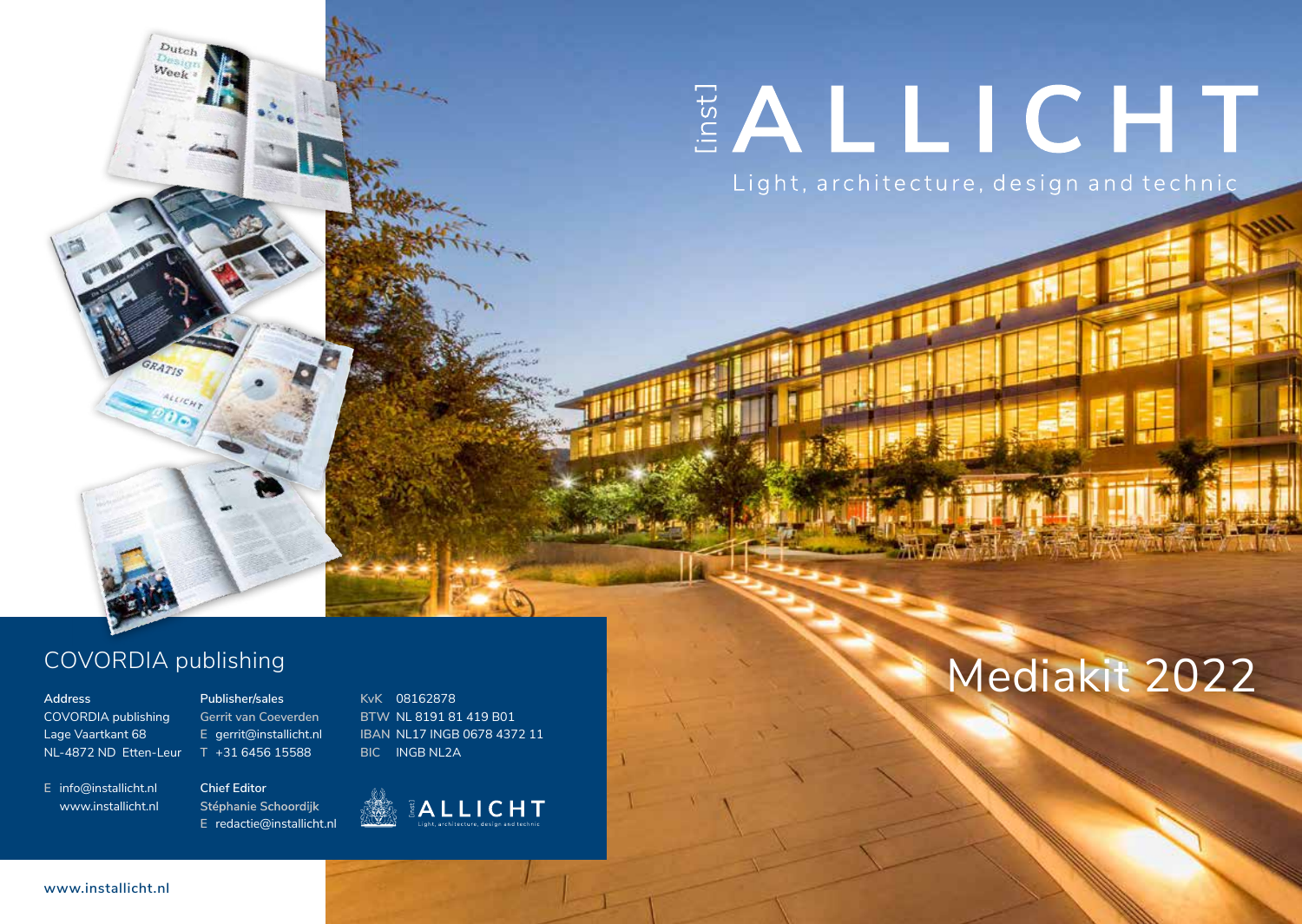# EALLICHT

Light, architecture, design and technic

## COVORDIA publishing

 $D$ utcl Weel

COVORDIA publishing Lage Vaartkant 68 NL-4872 ND Etten-Leur

**E** info@installicht.nl www.installicht.nl

**Publisher/sales Gerrit van Coeverden E** gerrit@installicht.nl **T** +31 6456 15588

**BTW** NL 8191 81 419 B01 **IBAN** NL17 INGB 0678 4372 11 **BIC** INGB NL2A

**KvK** 08162878



EALLICHT

## Address Publishing<br>Address Publisher/sales Experiment of the Subset of the Subset of the Subset of the Subset of the Subset of the Subset of the Subset of the Subset of the Subset of the Subset of the Subset of the Subset